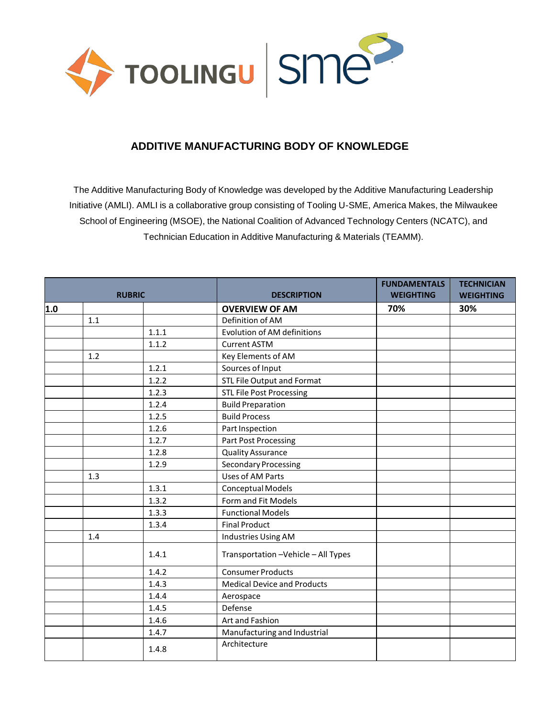

## **ADDITIVE MANUFACTURING BODY OF KNOWLEDGE**

The Additive Manufacturing Body of Knowledge was developed by the Additive Manufacturing Leadership Initiative (AMLI). AMLI is a collaborative group consisting of Tooling U-SME, America Makes, the Milwaukee School of Engineering (MSOE), the National Coalition of Advanced Technology Centers (NCATC), and Technician Education in Additive Manufacturing & Materials (TEAMM).

| <b>RUBRIC</b> |     |       | <b>DESCRIPTION</b>                   | <b>FUNDAMENTALS</b><br><b>WEIGHTING</b> | <b>TECHNICIAN</b><br><b>WEIGHTING</b> |
|---------------|-----|-------|--------------------------------------|-----------------------------------------|---------------------------------------|
| 1.0           |     |       | <b>OVERVIEW OF AM</b>                | 70%                                     | 30%                                   |
|               | 1.1 |       | Definition of AM                     |                                         |                                       |
|               |     | 1.1.1 | <b>Evolution of AM definitions</b>   |                                         |                                       |
|               |     | 1.1.2 | <b>Current ASTM</b>                  |                                         |                                       |
|               | 1.2 |       | Key Elements of AM                   |                                         |                                       |
|               |     | 1.2.1 | Sources of Input                     |                                         |                                       |
|               |     | 1.2.2 | STL File Output and Format           |                                         |                                       |
|               |     | 1.2.3 | <b>STL File Post Processing</b>      |                                         |                                       |
|               |     | 1.2.4 | <b>Build Preparation</b>             |                                         |                                       |
|               |     | 1.2.5 | <b>Build Process</b>                 |                                         |                                       |
|               |     | 1.2.6 | Part Inspection                      |                                         |                                       |
|               |     | 1.2.7 | <b>Part Post Processing</b>          |                                         |                                       |
|               |     | 1.2.8 | <b>Quality Assurance</b>             |                                         |                                       |
|               |     | 1.2.9 | <b>Secondary Processing</b>          |                                         |                                       |
|               | 1.3 |       | Uses of AM Parts                     |                                         |                                       |
|               |     | 1.3.1 | Conceptual Models                    |                                         |                                       |
|               |     | 1.3.2 | Form and Fit Models                  |                                         |                                       |
|               |     | 1.3.3 | <b>Functional Models</b>             |                                         |                                       |
|               |     | 1.3.4 | <b>Final Product</b>                 |                                         |                                       |
|               | 1.4 |       | Industries Using AM                  |                                         |                                       |
|               |     | 1.4.1 | Transportation - Vehicle - All Types |                                         |                                       |
|               |     | 1.4.2 | <b>Consumer Products</b>             |                                         |                                       |
|               |     | 1.4.3 | <b>Medical Device and Products</b>   |                                         |                                       |
|               |     | 1.4.4 | Aerospace                            |                                         |                                       |
|               |     | 1.4.5 | Defense                              |                                         |                                       |
|               |     | 1.4.6 | Art and Fashion                      |                                         |                                       |
|               |     | 1.4.7 | Manufacturing and Industrial         |                                         |                                       |
|               |     | 1.4.8 | Architecture                         |                                         |                                       |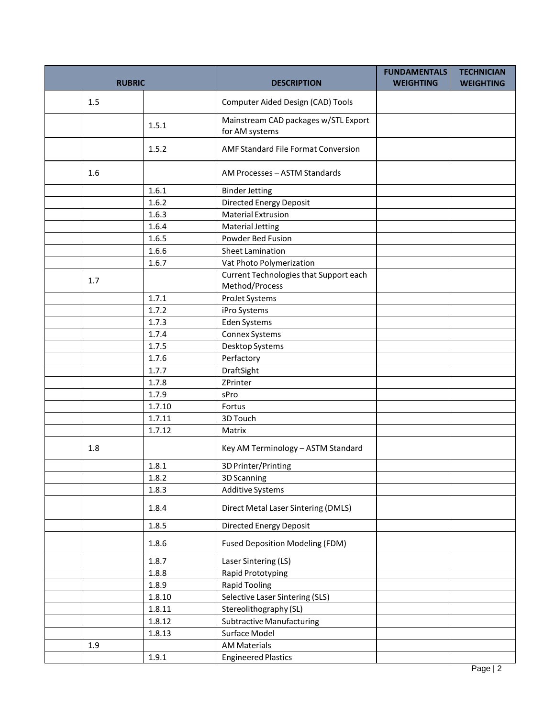| <b>RUBRIC</b> |        | <b>DESCRIPTION</b>                                     | <b>FUNDAMENTALS</b><br><b>WEIGHTING</b> | <b>TECHNICIAN</b><br><b>WEIGHTING</b> |
|---------------|--------|--------------------------------------------------------|-----------------------------------------|---------------------------------------|
| 1.5           |        | Computer Aided Design (CAD) Tools                      |                                         |                                       |
|               | 1.5.1  | Mainstream CAD packages w/STL Export<br>for AM systems |                                         |                                       |
|               | 1.5.2  | AMF Standard File Format Conversion                    |                                         |                                       |
| 1.6           |        | AM Processes - ASTM Standards                          |                                         |                                       |
|               | 1.6.1  | <b>Binder Jetting</b>                                  |                                         |                                       |
|               | 1.6.2  | <b>Directed Energy Deposit</b>                         |                                         |                                       |
|               | 1.6.3  | <b>Material Extrusion</b>                              |                                         |                                       |
|               | 1.6.4  | <b>Material Jetting</b>                                |                                         |                                       |
|               | 1.6.5  | Powder Bed Fusion                                      |                                         |                                       |
|               | 1.6.6  | <b>Sheet Lamination</b>                                |                                         |                                       |
|               | 1.6.7  | Vat Photo Polymerization                               |                                         |                                       |
|               |        | Current Technologies that Support each                 |                                         |                                       |
| 1.7           |        | Method/Process                                         |                                         |                                       |
|               | 1.7.1  | ProJet Systems                                         |                                         |                                       |
|               | 1.7.2  | iPro Systems                                           |                                         |                                       |
|               | 1.7.3  | Eden Systems                                           |                                         |                                       |
|               | 1.7.4  | Connex Systems                                         |                                         |                                       |
|               | 1.7.5  | Desktop Systems                                        |                                         |                                       |
|               | 1.7.6  | Perfactory                                             |                                         |                                       |
|               | 1.7.7  | DraftSight                                             |                                         |                                       |
|               | 1.7.8  | ZPrinter                                               |                                         |                                       |
|               | 1.7.9  | sPro                                                   |                                         |                                       |
|               | 1.7.10 | Fortus                                                 |                                         |                                       |
|               | 1.7.11 | 3D Touch                                               |                                         |                                       |
|               | 1.7.12 | Matrix                                                 |                                         |                                       |
| 1.8           |        | Key AM Terminology - ASTM Standard                     |                                         |                                       |
|               | 1.8.1  | 3D Printer/Printing                                    |                                         |                                       |
|               | 1.8.2  | 3D Scanning                                            |                                         |                                       |
|               | 1.8.3  | <b>Additive Systems</b>                                |                                         |                                       |
|               | 1.8.4  | Direct Metal Laser Sintering (DMLS)                    |                                         |                                       |
|               | 1.8.5  | <b>Directed Energy Deposit</b>                         |                                         |                                       |
|               | 1.8.6  | <b>Fused Deposition Modeling (FDM)</b>                 |                                         |                                       |
|               | 1.8.7  | Laser Sintering (LS)                                   |                                         |                                       |
|               | 1.8.8  | Rapid Prototyping                                      |                                         |                                       |
|               | 1.8.9  | <b>Rapid Tooling</b>                                   |                                         |                                       |
|               | 1.8.10 | Selective Laser Sintering (SLS)                        |                                         |                                       |
|               | 1.8.11 | Stereolithography (SL)                                 |                                         |                                       |
|               | 1.8.12 | <b>Subtractive Manufacturing</b>                       |                                         |                                       |
|               | 1.8.13 | Surface Model                                          |                                         |                                       |
| 1.9           |        | <b>AM Materials</b>                                    |                                         |                                       |
|               | 1.9.1  | <b>Engineered Plastics</b>                             |                                         |                                       |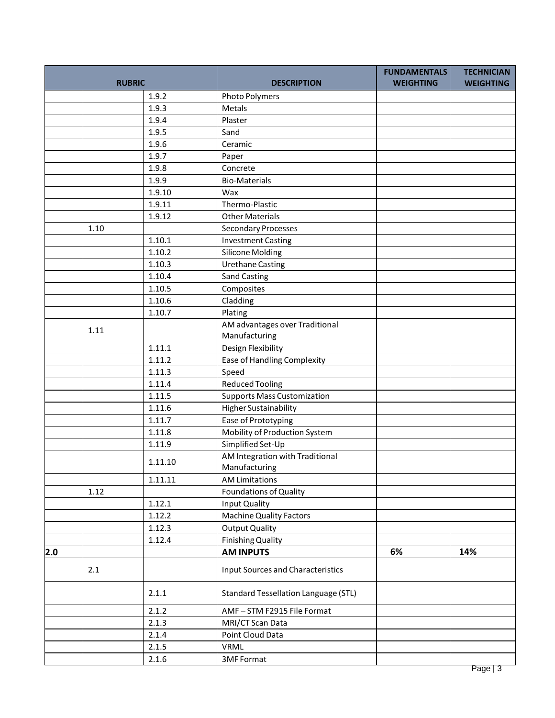| <b>RUBRIC</b> |      |         | <b>DESCRIPTION</b>                          | <b>FUNDAMENTALS</b><br><b>WEIGHTING</b> | <b>TECHNICIAN</b><br><b>WEIGHTING</b> |
|---------------|------|---------|---------------------------------------------|-----------------------------------------|---------------------------------------|
|               |      | 1.9.2   | <b>Photo Polymers</b>                       |                                         |                                       |
|               |      | 1.9.3   | Metals                                      |                                         |                                       |
|               |      | 1.9.4   | Plaster                                     |                                         |                                       |
|               |      | 1.9.5   | Sand                                        |                                         |                                       |
|               |      | 1.9.6   | Ceramic                                     |                                         |                                       |
|               |      | 1.9.7   | Paper                                       |                                         |                                       |
|               |      | 1.9.8   | Concrete                                    |                                         |                                       |
|               |      | 1.9.9   | <b>Bio-Materials</b>                        |                                         |                                       |
|               |      | 1.9.10  | Wax                                         |                                         |                                       |
|               |      | 1.9.11  | Thermo-Plastic                              |                                         |                                       |
|               |      | 1.9.12  | <b>Other Materials</b>                      |                                         |                                       |
|               | 1.10 |         | <b>Secondary Processes</b>                  |                                         |                                       |
|               |      | 1.10.1  | <b>Investment Casting</b>                   |                                         |                                       |
|               |      | 1.10.2  | <b>Silicone Molding</b>                     |                                         |                                       |
|               |      | 1.10.3  | <b>Urethane Casting</b>                     |                                         |                                       |
|               |      | 1.10.4  | <b>Sand Casting</b>                         |                                         |                                       |
|               |      | 1.10.5  | Composites                                  |                                         |                                       |
|               |      | 1.10.6  | Cladding                                    |                                         |                                       |
|               |      | 1.10.7  | Plating                                     |                                         |                                       |
|               |      |         | AM advantages over Traditional              |                                         |                                       |
|               | 1.11 |         | Manufacturing                               |                                         |                                       |
|               |      | 1.11.1  | Design Flexibility                          |                                         |                                       |
|               |      | 1.11.2  | <b>Ease of Handling Complexity</b>          |                                         |                                       |
|               |      | 1.11.3  | Speed                                       |                                         |                                       |
|               |      | 1.11.4  | <b>Reduced Tooling</b>                      |                                         |                                       |
|               |      | 1.11.5  | <b>Supports Mass Customization</b>          |                                         |                                       |
|               |      | 1.11.6  | <b>Higher Sustainability</b>                |                                         |                                       |
|               |      | 1.11.7  | Ease of Prototyping                         |                                         |                                       |
|               |      | 1.11.8  | Mobility of Production System               |                                         |                                       |
|               |      | 1.11.9  | Simplified Set-Up                           |                                         |                                       |
|               |      |         | AM Integration with Traditional             |                                         |                                       |
|               |      | 1.11.10 | Manufacturing                               |                                         |                                       |
|               |      | 1.11.11 | <b>AM Limitations</b>                       |                                         |                                       |
|               | 1.12 |         | <b>Foundations of Quality</b>               |                                         |                                       |
|               |      | 1.12.1  | Input Quality                               |                                         |                                       |
|               |      | 1.12.2  | <b>Machine Quality Factors</b>              |                                         |                                       |
|               |      | 1.12.3  | <b>Output Quality</b>                       |                                         |                                       |
|               |      | 1.12.4  | <b>Finishing Quality</b>                    |                                         |                                       |
| 2.0           |      |         | <b>AM INPUTS</b>                            | 6%                                      | 14%                                   |
|               | 2.1  |         | <b>Input Sources and Characteristics</b>    |                                         |                                       |
|               |      | 2.1.1   | <b>Standard Tessellation Language (STL)</b> |                                         |                                       |
|               |      | 2.1.2   | AMF-STM F2915 File Format                   |                                         |                                       |
|               |      | 2.1.3   | MRI/CT Scan Data                            |                                         |                                       |
|               |      | 2.1.4   | Point Cloud Data                            |                                         |                                       |
|               |      | 2.1.5   | VRML                                        |                                         |                                       |
|               |      | 2.1.6   | <b>3MF Format</b>                           |                                         |                                       |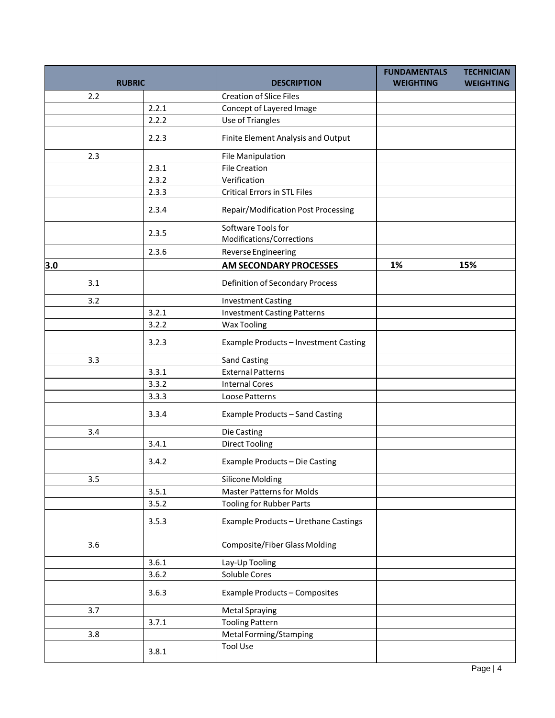| <b>RUBRIC</b> |     |       | <b>DESCRIPTION</b>                              | <b>FUNDAMENTALS</b><br><b>WEIGHTING</b> | <b>TECHNICIAN</b><br><b>WEIGHTING</b> |
|---------------|-----|-------|-------------------------------------------------|-----------------------------------------|---------------------------------------|
|               | 2.2 |       | <b>Creation of Slice Files</b>                  |                                         |                                       |
|               |     | 2.2.1 | Concept of Layered Image                        |                                         |                                       |
|               |     | 2.2.2 | Use of Triangles                                |                                         |                                       |
|               |     | 2.2.3 | Finite Element Analysis and Output              |                                         |                                       |
|               | 2.3 |       | File Manipulation                               |                                         |                                       |
|               |     | 2.3.1 | <b>File Creation</b>                            |                                         |                                       |
|               |     | 2.3.2 | Verification                                    |                                         |                                       |
|               |     | 2.3.3 | <b>Critical Errors in STL Files</b>             |                                         |                                       |
|               |     | 2.3.4 | Repair/Modification Post Processing             |                                         |                                       |
|               |     | 2.3.5 | Software Tools for<br>Modifications/Corrections |                                         |                                       |
|               |     | 2.3.6 | Reverse Engineering                             |                                         |                                       |
| 3.0           |     |       | AM SECONDARY PROCESSES                          | 1%                                      | 15%                                   |
|               | 3.1 |       | Definition of Secondary Process                 |                                         |                                       |
|               | 3.2 |       | <b>Investment Casting</b>                       |                                         |                                       |
|               |     | 3.2.1 | <b>Investment Casting Patterns</b>              |                                         |                                       |
|               |     | 3.2.2 | <b>Wax Tooling</b>                              |                                         |                                       |
|               |     | 3.2.3 | Example Products - Investment Casting           |                                         |                                       |
|               | 3.3 |       | <b>Sand Casting</b>                             |                                         |                                       |
|               |     | 3.3.1 | <b>External Patterns</b>                        |                                         |                                       |
|               |     | 3.3.2 | <b>Internal Cores</b>                           |                                         |                                       |
|               |     | 3.3.3 | Loose Patterns                                  |                                         |                                       |
|               |     | 3.3.4 | Example Products - Sand Casting                 |                                         |                                       |
|               | 3.4 |       | Die Casting                                     |                                         |                                       |
|               |     | 3.4.1 | <b>Direct Tooling</b>                           |                                         |                                       |
|               |     | 3.4.2 | Example Products - Die Casting                  |                                         |                                       |
|               | 3.5 |       | Silicone Molding                                |                                         |                                       |
|               |     | 3.5.1 | <b>Master Patterns for Molds</b>                |                                         |                                       |
|               |     | 3.5.2 | <b>Tooling for Rubber Parts</b>                 |                                         |                                       |
|               |     | 3.5.3 | Example Products - Urethane Castings            |                                         |                                       |
|               | 3.6 |       | <b>Composite/Fiber Glass Molding</b>            |                                         |                                       |
|               |     | 3.6.1 | Lay-Up Tooling                                  |                                         |                                       |
|               |     | 3.6.2 | Soluble Cores                                   |                                         |                                       |
|               |     | 3.6.3 | Example Products - Composites                   |                                         |                                       |
|               | 3.7 |       | <b>Metal Spraying</b>                           |                                         |                                       |
|               |     | 3.7.1 | <b>Tooling Pattern</b>                          |                                         |                                       |
|               | 3.8 |       | Metal Forming/Stamping                          |                                         |                                       |
|               |     |       | <b>Tool Use</b>                                 |                                         |                                       |
|               |     | 3.8.1 |                                                 |                                         |                                       |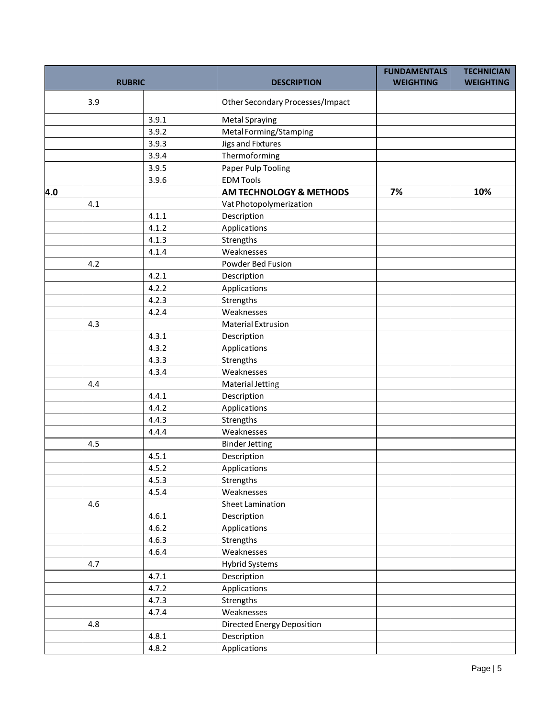|     |               |       |                                    | <b>FUNDAMENTALS</b> | <b>TECHNICIAN</b> |
|-----|---------------|-------|------------------------------------|---------------------|-------------------|
|     | <b>RUBRIC</b> |       | <b>DESCRIPTION</b>                 | <b>WEIGHTING</b>    | <b>WEIGHTING</b>  |
|     | 3.9           |       | Other Secondary Processes/Impact   |                     |                   |
|     |               | 3.9.1 | <b>Metal Spraying</b>              |                     |                   |
|     |               | 3.9.2 | Metal Forming/Stamping             |                     |                   |
|     |               | 3.9.3 | <b>Jigs and Fixtures</b>           |                     |                   |
|     |               | 3.9.4 | Thermoforming                      |                     |                   |
|     |               | 3.9.5 | Paper Pulp Tooling                 |                     |                   |
|     |               | 3.9.6 | <b>EDM Tools</b>                   |                     |                   |
| 4.0 |               |       | <b>AM TECHNOLOGY &amp; METHODS</b> | 7%                  | 10%               |
|     | 4.1           |       | Vat Photopolymerization            |                     |                   |
|     |               | 4.1.1 | Description                        |                     |                   |
|     |               | 4.1.2 | Applications                       |                     |                   |
|     |               | 4.1.3 | Strengths                          |                     |                   |
|     |               | 4.1.4 | Weaknesses                         |                     |                   |
|     | 4.2           |       | Powder Bed Fusion                  |                     |                   |
|     |               | 4.2.1 | Description                        |                     |                   |
|     |               | 4.2.2 | Applications                       |                     |                   |
|     |               | 4.2.3 | Strengths                          |                     |                   |
|     |               | 4.2.4 | Weaknesses                         |                     |                   |
|     | 4.3           |       | <b>Material Extrusion</b>          |                     |                   |
|     |               | 4.3.1 | Description                        |                     |                   |
|     |               | 4.3.2 | Applications                       |                     |                   |
|     |               | 4.3.3 | Strengths                          |                     |                   |
|     |               | 4.3.4 | Weaknesses                         |                     |                   |
|     | 4.4           |       | <b>Material Jetting</b>            |                     |                   |
|     |               | 4.4.1 | Description                        |                     |                   |
|     |               | 4.4.2 | Applications                       |                     |                   |
|     |               | 4.4.3 | Strengths                          |                     |                   |
|     |               | 4.4.4 | Weaknesses                         |                     |                   |
|     | 4.5           |       | <b>Binder Jetting</b>              |                     |                   |
|     |               | 4.5.1 | Description                        |                     |                   |
|     |               | 4.5.2 | Applications                       |                     |                   |
|     |               | 4.5.3 | Strengths                          |                     |                   |
|     |               | 4.5.4 | Weaknesses                         |                     |                   |
|     | 4.6           |       | Sheet Lamination                   |                     |                   |
|     |               | 4.6.1 | Description                        |                     |                   |
|     |               | 4.6.2 | Applications                       |                     |                   |
|     |               | 4.6.3 | Strengths                          |                     |                   |
|     |               | 4.6.4 | Weaknesses                         |                     |                   |
|     | 4.7           |       | <b>Hybrid Systems</b>              |                     |                   |
|     |               | 4.7.1 | Description                        |                     |                   |
|     |               | 4.7.2 | Applications                       |                     |                   |
|     |               | 4.7.3 | Strengths                          |                     |                   |
|     |               | 4.7.4 | Weaknesses                         |                     |                   |
|     | 4.8           |       | <b>Directed Energy Deposition</b>  |                     |                   |
|     |               | 4.8.1 | Description                        |                     |                   |
|     |               | 4.8.2 | Applications                       |                     |                   |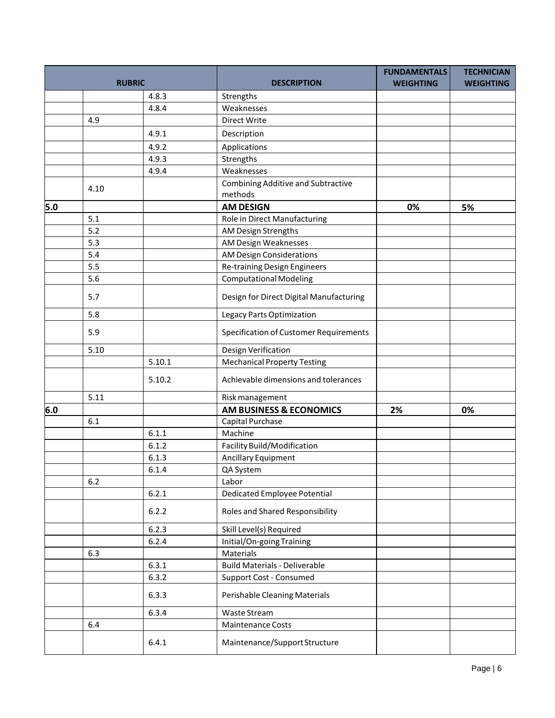| <b>RUBRIC</b> |      |        | <b>DESCRIPTION</b>                            | <b>FUNDAMENTALS</b><br><b>WEIGHTING</b> | <b>TECHNICIAN</b><br><b>WEIGHTING</b> |
|---------------|------|--------|-----------------------------------------------|-----------------------------------------|---------------------------------------|
|               |      | 4.8.3  | Strengths                                     |                                         |                                       |
|               |      | 4.8.4  | Weaknesses                                    |                                         |                                       |
|               | 4.9  |        | Direct Write                                  |                                         |                                       |
|               |      | 4.9.1  | Description                                   |                                         |                                       |
|               |      | 4.9.2  | Applications                                  |                                         |                                       |
|               |      | 4.9.3  | Strengths                                     |                                         |                                       |
|               |      | 4.9.4  | Weaknesses                                    |                                         |                                       |
|               |      |        | Combining Additive and Subtractive            |                                         |                                       |
|               | 4.10 |        | methods                                       |                                         |                                       |
| 5.0           |      |        | <b>AM DESIGN</b>                              | 0%                                      | 5%                                    |
|               | 5.1  |        | Role in Direct Manufacturing                  |                                         |                                       |
|               | 5.2  |        | AM Design Strengths                           |                                         |                                       |
|               | 5.3  |        | AM Design Weaknesses                          |                                         |                                       |
|               | 5.4  |        | AM Design Considerations                      |                                         |                                       |
|               | 5.5  |        | <b>Re-training Design Engineers</b>           |                                         |                                       |
|               | 5.6  |        | <b>Computational Modeling</b>                 |                                         |                                       |
|               | 5.7  |        | Design for Direct Digital Manufacturing       |                                         |                                       |
|               | 5.8  |        | Legacy Parts Optimization                     |                                         |                                       |
|               | 5.9  |        | <b>Specification of Customer Requirements</b> |                                         |                                       |
|               | 5.10 |        | Design Verification                           |                                         |                                       |
|               |      | 5.10.1 | <b>Mechanical Property Testing</b>            |                                         |                                       |
|               |      | 5.10.2 | Achievable dimensions and tolerances          |                                         |                                       |
|               | 5.11 |        | Risk management                               |                                         |                                       |
| 6.0           |      |        | <b>AM BUSINESS &amp; ECONOMICS</b>            | 2%                                      | 0%                                    |
|               | 6.1  |        | Capital Purchase                              |                                         |                                       |
|               |      | 6.1.1  | Machine                                       |                                         |                                       |
|               |      | 6.1.2  | Facility Build/Modification                   |                                         |                                       |
|               |      | 6.1.3  | Ancillary Equipment                           |                                         |                                       |
|               |      | 6.1.4  | QA System                                     |                                         |                                       |
|               | 6.2  |        | Labor                                         |                                         |                                       |
|               |      | 6.2.1  | <b>Dedicated Employee Potential</b>           |                                         |                                       |
|               |      | 6.2.2  | <b>Roles and Shared Responsibility</b>        |                                         |                                       |
|               |      | 6.2.3  | Skill Level(s) Required                       |                                         |                                       |
|               |      | 6.2.4  | Initial/On-going Training                     |                                         |                                       |
|               | 6.3  |        | Materials                                     |                                         |                                       |
|               |      | 6.3.1  | <b>Build Materials - Deliverable</b>          |                                         |                                       |
|               |      | 6.3.2  | Support Cost - Consumed                       |                                         |                                       |
|               |      | 6.3.3  | Perishable Cleaning Materials                 |                                         |                                       |
|               |      | 6.3.4  | Waste Stream                                  |                                         |                                       |
|               | 6.4  |        | Maintenance Costs                             |                                         |                                       |
|               |      | 6.4.1  | Maintenance/Support Structure                 |                                         |                                       |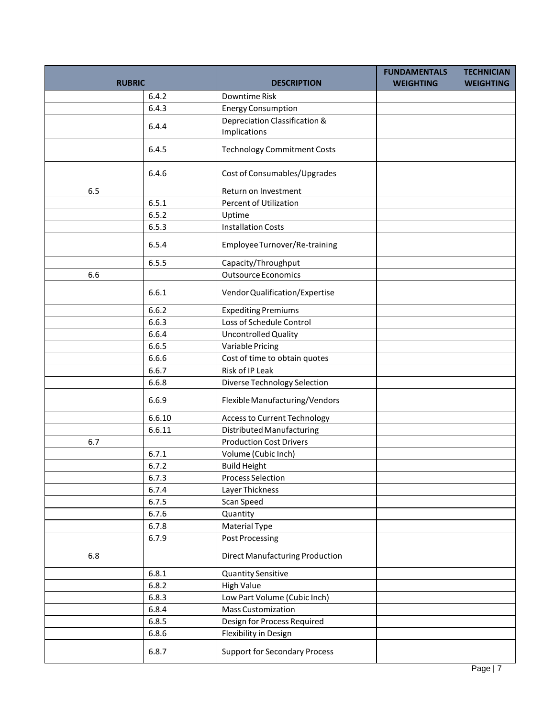| <b>RUBRIC</b> |     |        | <b>DESCRIPTION</b>                     | <b>FUNDAMENTALS</b><br><b>WEIGHTING</b> | <b>TECHNICIAN</b><br><b>WEIGHTING</b> |
|---------------|-----|--------|----------------------------------------|-----------------------------------------|---------------------------------------|
|               |     | 6.4.2  | Downtime Risk                          |                                         |                                       |
|               |     | 6.4.3  | <b>Energy Consumption</b>              |                                         |                                       |
|               |     |        | Depreciation Classification &          |                                         |                                       |
|               |     | 6.4.4  | Implications                           |                                         |                                       |
|               |     |        |                                        |                                         |                                       |
|               |     | 6.4.5  | <b>Technology Commitment Costs</b>     |                                         |                                       |
|               |     | 6.4.6  | Cost of Consumables/Upgrades           |                                         |                                       |
|               | 6.5 |        | Return on Investment                   |                                         |                                       |
|               |     | 6.5.1  | Percent of Utilization                 |                                         |                                       |
|               |     | 6.5.2  | Uptime                                 |                                         |                                       |
|               |     | 6.5.3  | <b>Installation Costs</b>              |                                         |                                       |
|               |     | 6.5.4  | Employee Turnover/Re-training          |                                         |                                       |
|               |     | 6.5.5  | Capacity/Throughput                    |                                         |                                       |
|               | 6.6 |        | <b>Outsource Economics</b>             |                                         |                                       |
|               |     | 6.6.1  | Vendor Qualification/Expertise         |                                         |                                       |
|               |     | 6.6.2  | <b>Expediting Premiums</b>             |                                         |                                       |
|               |     | 6.6.3  | Loss of Schedule Control               |                                         |                                       |
|               |     | 6.6.4  | Uncontrolled Quality                   |                                         |                                       |
|               |     | 6.6.5  | Variable Pricing                       |                                         |                                       |
|               |     | 6.6.6  | Cost of time to obtain quotes          |                                         |                                       |
|               |     | 6.6.7  | Risk of IP Leak                        |                                         |                                       |
|               |     | 6.6.8  | Diverse Technology Selection           |                                         |                                       |
|               |     | 6.6.9  | Flexible Manufacturing/Vendors         |                                         |                                       |
|               |     | 6.6.10 | Access to Current Technology           |                                         |                                       |
|               |     | 6.6.11 | Distributed Manufacturing              |                                         |                                       |
|               | 6.7 |        | <b>Production Cost Drivers</b>         |                                         |                                       |
|               |     | 6.7.1  | Volume (Cubic Inch)                    |                                         |                                       |
|               |     | 6.7.2  | <b>Build Height</b>                    |                                         |                                       |
|               |     | 6.7.3  | <b>Process Selection</b>               |                                         |                                       |
|               |     | 6.7.4  | Layer Thickness                        |                                         |                                       |
|               |     | 6.7.5  | Scan Speed                             |                                         |                                       |
|               |     | 6.7.6  | Quantity                               |                                         |                                       |
|               |     | 6.7.8  | <b>Material Type</b>                   |                                         |                                       |
|               |     | 6.7.9  | <b>Post Processing</b>                 |                                         |                                       |
|               | 6.8 |        | <b>Direct Manufacturing Production</b> |                                         |                                       |
|               |     | 6.8.1  | <b>Quantity Sensitive</b>              |                                         |                                       |
|               |     | 6.8.2  | <b>High Value</b>                      |                                         |                                       |
|               |     | 6.8.3  | Low Part Volume (Cubic Inch)           |                                         |                                       |
|               |     | 6.8.4  | <b>Mass Customization</b>              |                                         |                                       |
|               |     | 6.8.5  | Design for Process Required            |                                         |                                       |
|               |     | 6.8.6  | Flexibility in Design                  |                                         |                                       |
|               |     |        |                                        |                                         |                                       |
|               |     | 6.8.7  | <b>Support for Secondary Process</b>   |                                         |                                       |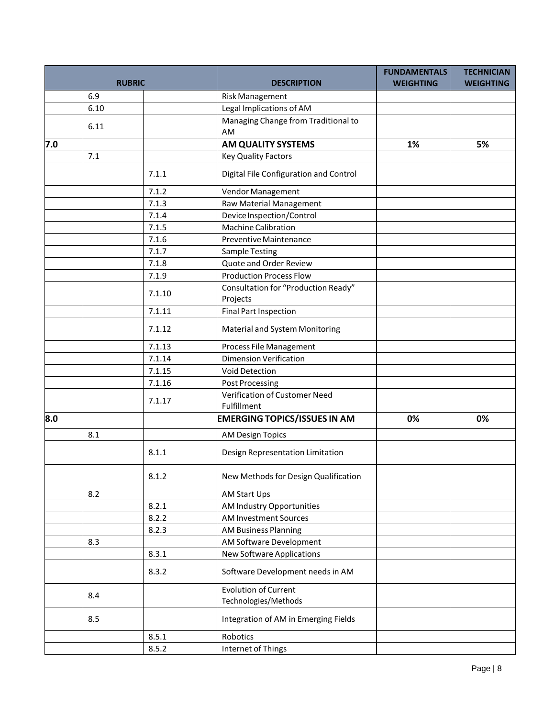| <b>RUBRIC</b> |      |        | <b>DESCRIPTION</b>                                  | <b>FUNDAMENTALS</b><br><b>WEIGHTING</b> | <b>TECHNICIAN</b><br><b>WEIGHTING</b> |
|---------------|------|--------|-----------------------------------------------------|-----------------------------------------|---------------------------------------|
|               | 6.9  |        | <b>Risk Management</b>                              |                                         |                                       |
|               | 6.10 |        | Legal Implications of AM                            |                                         |                                       |
|               | 6.11 |        | Managing Change from Traditional to<br>AM           |                                         |                                       |
| 7.0           |      |        | AM QUALITY SYSTEMS                                  | 1%                                      | 5%                                    |
|               | 7.1  |        | <b>Key Quality Factors</b>                          |                                         |                                       |
|               |      | 7.1.1  | Digital File Configuration and Control              |                                         |                                       |
|               |      | 7.1.2  | Vendor Management                                   |                                         |                                       |
|               |      | 7.1.3  | Raw Material Management                             |                                         |                                       |
|               |      | 7.1.4  | Device Inspection/Control                           |                                         |                                       |
|               |      | 7.1.5  | Machine Calibration                                 |                                         |                                       |
|               |      | 7.1.6  | Preventive Maintenance                              |                                         |                                       |
|               |      | 7.1.7  | <b>Sample Testing</b>                               |                                         |                                       |
|               |      | 7.1.8  | Quote and Order Review                              |                                         |                                       |
|               |      | 7.1.9  | <b>Production Process Flow</b>                      |                                         |                                       |
|               |      | 7.1.10 | Consultation for "Production Ready"<br>Projects     |                                         |                                       |
|               |      | 7.1.11 | <b>Final Part Inspection</b>                        |                                         |                                       |
|               |      | 7.1.12 | <b>Material and System Monitoring</b>               |                                         |                                       |
|               |      | 7.1.13 | Process File Management                             |                                         |                                       |
|               |      | 7.1.14 | <b>Dimension Verification</b>                       |                                         |                                       |
|               |      | 7.1.15 | Void Detection                                      |                                         |                                       |
|               |      | 7.1.16 | <b>Post Processing</b>                              |                                         |                                       |
|               |      | 7.1.17 | Verification of Customer Need<br>Fulfillment        |                                         |                                       |
| 8.0           |      |        | <b>EMERGING TOPICS/ISSUES IN AM</b>                 | 0%                                      | 0%                                    |
|               | 8.1  |        | <b>AM Design Topics</b>                             |                                         |                                       |
|               |      | 8.1.1  | Design Representation Limitation                    |                                         |                                       |
|               |      | 8.1.2  | New Methods for Design Qualification                |                                         |                                       |
|               | 8.2  |        | AM Start Ups                                        |                                         |                                       |
|               |      | 8.2.1  | AM Industry Opportunities                           |                                         |                                       |
|               |      | 8.2.2  | <b>AM Investment Sources</b>                        |                                         |                                       |
|               |      | 8.2.3  | <b>AM Business Planning</b>                         |                                         |                                       |
|               | 8.3  |        | AM Software Development                             |                                         |                                       |
|               |      | 8.3.1  | New Software Applications                           |                                         |                                       |
|               |      | 8.3.2  | Software Development needs in AM                    |                                         |                                       |
|               | 8.4  |        | <b>Evolution of Current</b><br>Technologies/Methods |                                         |                                       |
|               | 8.5  |        | Integration of AM in Emerging Fields                |                                         |                                       |
|               |      | 8.5.1  | Robotics                                            |                                         |                                       |
|               |      | 8.5.2  | Internet of Things                                  |                                         |                                       |